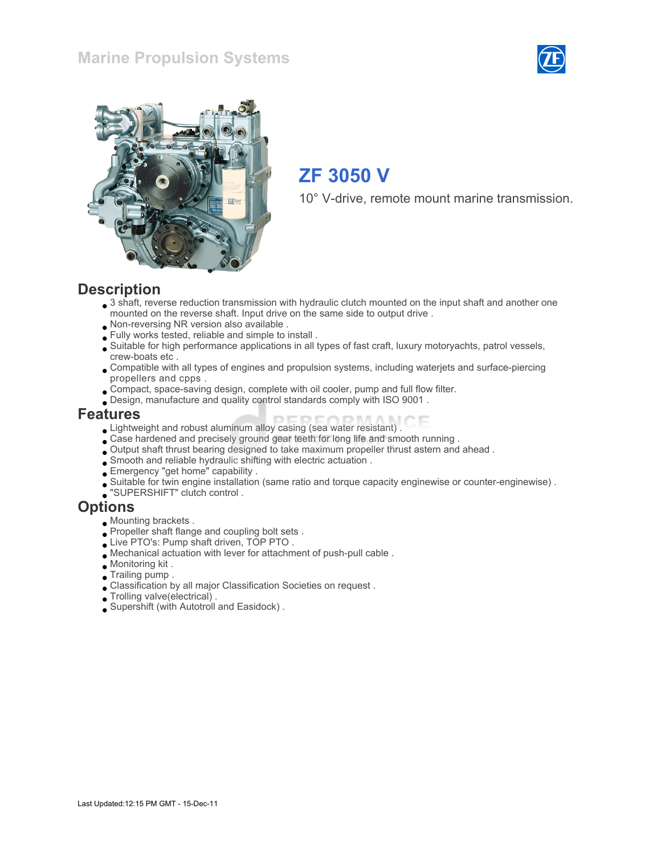## Marine Propulsion Systems





# ZF 3050 V

10° V-drive, remote mount marine transmission.

#### **Description**

- 3 shaft, reverse reduction transmission with hydraulic clutch mounted on the input shaft and another one mounted on the reverse shaft. Input drive on the same side to output drive .
- Non-reversing NR version also available .
- Fully works tested, reliable and simple to install .
- Suitable for high performance applications in all types of fast craft, luxury motoryachts, patrol vessels, crew-boats etc .
- Compatible with all types of engines and propulsion systems, including waterjets and surface-piercing propellers and cpps .
- Compact, space-saving design, complete with oil cooler, pump and full flow filter.
- Design, manufacture and quality control standards comply with ISO 9001 .

#### Features

- Lightweight and robust aluminum alloy casing (sea water resistant) .
- Case hardened and precisely ground gear teeth for long life and smooth running .
- Output shaft thrust bearing designed to take maximum propeller thrust astern and ahead .
- Smooth and reliable hydraulic shifting with electric actuation .
- Emergency "get home" capability .
- Suitable for twin engine installation (same ratio and torque capacity enginewise or counter-enginewise) .
- "SUPERSHIFT" clutch control .

#### **Options**

- Mounting brackets .
- Propeller shaft flange and coupling bolt sets.
- Live PTO's: Pump shaft driven, TOP PTO .
- Mechanical actuation with lever for attachment of push-pull cable .
- Monitoring kit .
- Trailing pump .
- Classification by all major Classification Societies on request .
- Trolling valve(electrical) .
- Supershift (with Autotroll and Easidock) .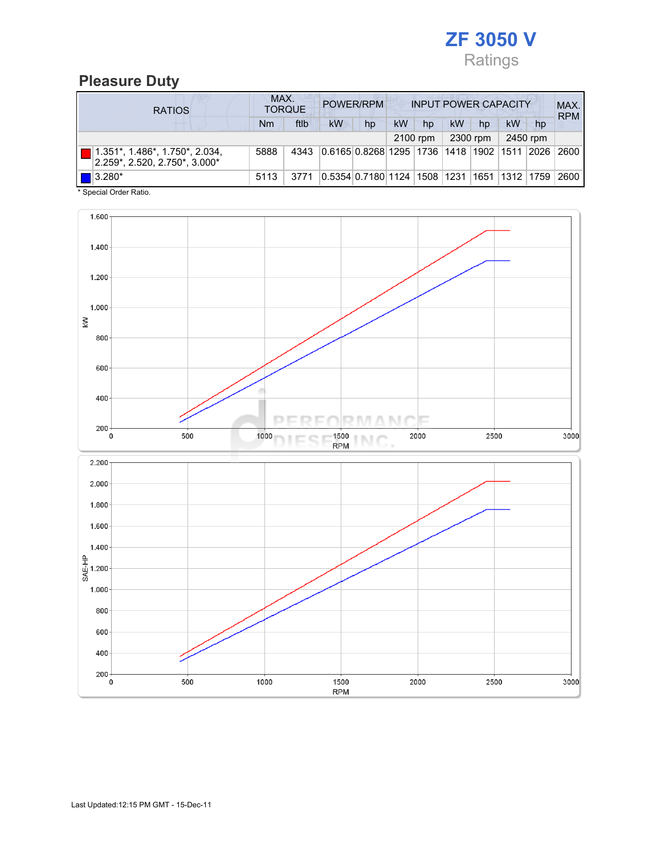

## Pleasure Duty

| <b>RATIOS</b>                                                                  | MAX.<br>POWER/RPM<br><b>TORQUE</b> |      |                                             |    |           | <b>INPUT POWER CAPACITY</b> |    |          |    |                  |            |
|--------------------------------------------------------------------------------|------------------------------------|------|---------------------------------------------|----|-----------|-----------------------------|----|----------|----|------------------|------------|
|                                                                                | Nm                                 | ftlb | <b>kW</b>                                   | hp | <b>kW</b> | hp                          | kW | hp       | kW | hp               | <b>RPM</b> |
|                                                                                |                                    |      |                                             |    |           | 2100 rpm                    |    | 2300 rpm |    | 2450 rpm         |            |
| $1.351^*$ , $1.486^*$ , $1.750^*$ , $2.034$ ,<br>2.259*, 2.520, 2.750*, 3.000* | 5888                               | 4343 | 0.6165 0.8268 1295 1736 1418 1902 1511 2026 |    |           |                             |    |          |    |                  | 2600       |
| $\blacksquare$ 3.280*                                                          | 5113                               | 3771 | 0.5354 0.7180 1124  1508  1231              |    |           |                             |    |          |    | 1651  1312  1759 | 2600       |

\* Special Order Ratio.

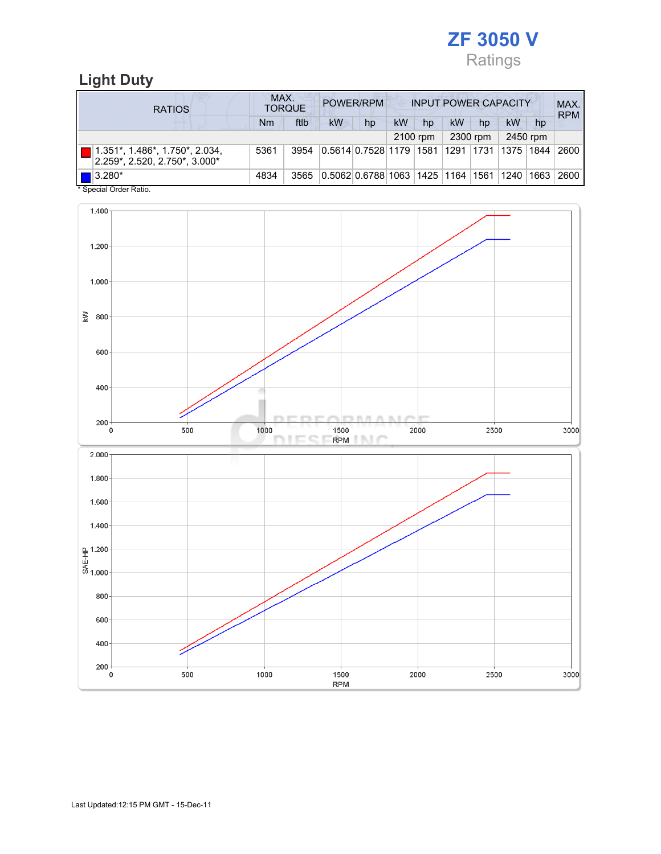

# Light Duty

| <b>RATIOS</b>                                                                 | MAX.<br>POWER/RPM<br><b>INPUT POWER CAPACITY</b><br><b>TORQUE</b> |      |                                                  |    |    |          |    |          |           | MAX.<br><b>RPM</b> |      |
|-------------------------------------------------------------------------------|-------------------------------------------------------------------|------|--------------------------------------------------|----|----|----------|----|----------|-----------|--------------------|------|
|                                                                               | Nm                                                                | ftlb | kW                                               | hp | kW | hp       | kW | hp       | <b>kW</b> | hp                 |      |
|                                                                               |                                                                   |      |                                                  |    |    | 2100 rpm |    | 2300 rpm |           | 2450 rpm           |      |
| $(1.351^*, 1.486^*, 1.750^*, 2.034)$<br>$ 2.259^* , 2.520, 2.750^* , 3.000^*$ | 5361                                                              | 3954 | 0.5614 0.7528 1179  1581  1291  1731  1375  1844 |    |    |          |    |          |           |                    | 2600 |
| $\blacksquare$ 3.280*<br>$*$ On a simil Onder Definition                      | 4834                                                              | 3565 | 0.5062 0.6788 1063  1425  1164  1561  1240  1663 |    |    |          |    |          |           |                    | 2600 |

Special Order Ratio.

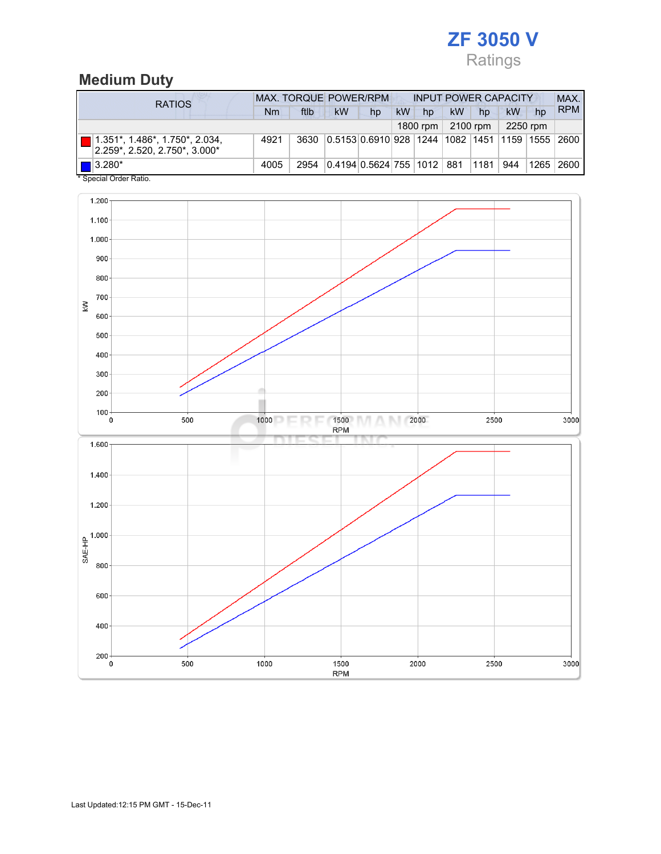

## Medium Duty

| <b>RATIOS</b>                                                       | <b>MAX. TORQUE POWER/RPM</b> |      |                                                       |    | <b>INPUT POWER CAPACITY</b> |          |           |          |          |    | MAX.        |
|---------------------------------------------------------------------|------------------------------|------|-------------------------------------------------------|----|-----------------------------|----------|-----------|----------|----------|----|-------------|
|                                                                     | Nm                           | ftlb | kW                                                    | hp | <b>kW</b>                   | hp       | <b>kW</b> | hp       | kW       | hp | <b>RPM</b>  |
|                                                                     |                              |      |                                                       |    |                             | 1800 rpm |           | 2100 rpm | 2250 rpm |    |             |
| 1.351*, 1.486*, 1.750*, 2.034,<br>$ 2.259$ *, 2.520, 2.750*, 3.000* | 4921                         | 3630 | 0.5153 0.6910 928  1244  1082  1451  1159  1555  2600 |    |                             |          |           |          |          |    |             |
| $\blacksquare$ 3.280*<br>* Concial Order Datio                      | 4005                         | 2954 | 0.4194 0.5624 755 1012 881                            |    |                             |          |           | ∣1181 I  | 944      |    | 1265   2600 |

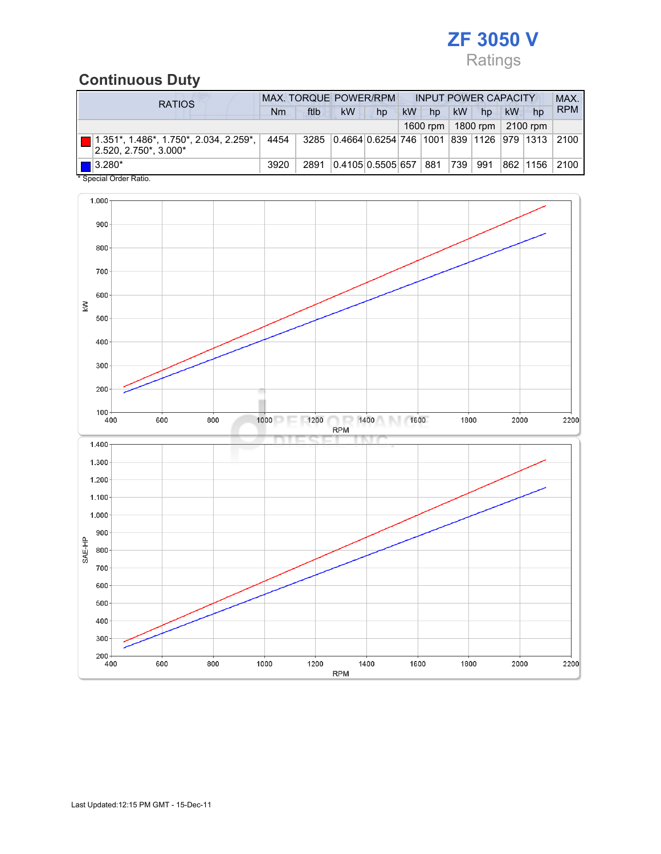

# Continuous Duty

| <b>RATIOS</b>                                                            |      | <b>MAX. TORQUE POWER/RPM</b><br><b>INPUT POWER CAPACITY</b> |                   |    |           |          |           |          |    |          | MAX.              |
|--------------------------------------------------------------------------|------|-------------------------------------------------------------|-------------------|----|-----------|----------|-----------|----------|----|----------|-------------------|
|                                                                          | Nm   | ftlb                                                        | <b>kW</b>         | hp | <b>kW</b> | hp       | <b>kW</b> | hp       | kW | hp       | <b>RPM</b>        |
|                                                                          |      |                                                             |                   |    |           | 1600 rpm |           | 1800 rpm |    | 2100 rpm |                   |
| ■ 1.351*, 1.486*, 1.750*, 2.034, 2.259*, │<br>$ 2.520, 2.750^*$ , 3.000* |      | 4454 3285 0.4664 0.6254 746 1001 839 1126 979 1313 2100     |                   |    |           |          |           |          |    |          |                   |
| $\blacksquare$ 3.280*<br>* Concial Order Patio                           | 3920 | 2891                                                        | 0.4105 0.5505 657 |    |           | 881      | 739       | 991      |    |          | 862   1156   2100 |

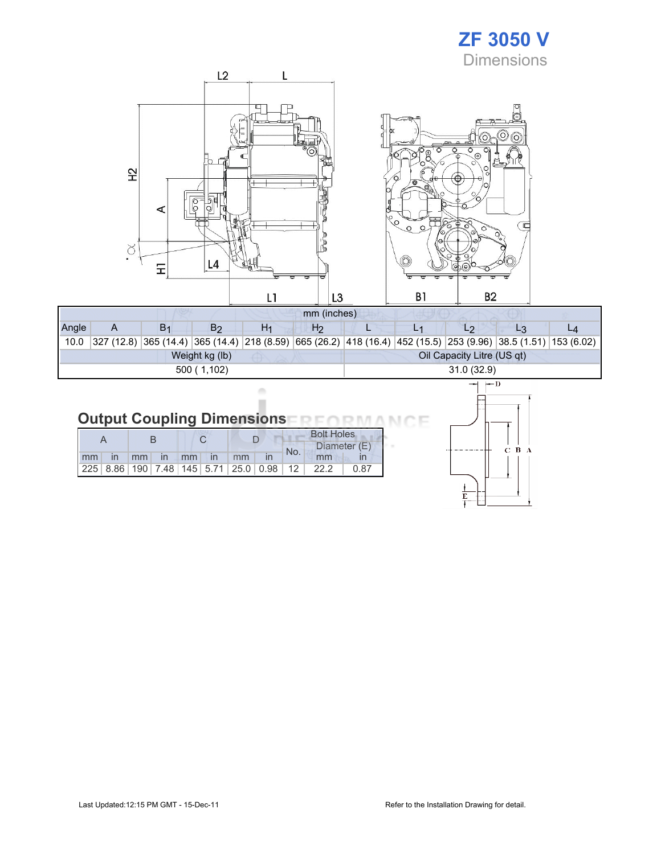# ZF 3050 V **Dimensions**



| Angle          |  |  | B2 | H۱ | H2 |                            |  |  |                                                                                                                    |  |  |  |  |
|----------------|--|--|----|----|----|----------------------------|--|--|--------------------------------------------------------------------------------------------------------------------|--|--|--|--|
| 10.0           |  |  |    |    |    |                            |  |  | $ 327 (12.8) 365 (14.4) 365 (14.4) 218 (8.59) 665 (26.2) 418 (16.4) 452 (15.5) 253 (9.96) 38.5 (1.51) 153 (6.02) $ |  |  |  |  |
| Weight kg (lb) |  |  |    |    |    | Oil Capacity Litre (US qt) |  |  |                                                                                                                    |  |  |  |  |
| 500(1,102)     |  |  |    |    |    | 31.0(32.9)                 |  |  |                                                                                                                    |  |  |  |  |

#### Output Coupling Dimensions FRFORMA NCE

ó ī

|    |                   |       |  |              |    |                                                         |     | <b>Bolt Holes</b> |      |
|----|-------------------|-------|--|--------------|----|---------------------------------------------------------|-----|-------------------|------|
|    |                   |       |  |              |    |                                                         | No. | Diameter (E)      |      |
| mm | $\ln$ $\text{mm}$ | in mm |  | $\mathsf{m}$ | mm |                                                         |     | mm                |      |
|    |                   |       |  |              |    | 225   8.86   190   7.48   145   5.71   25.0   0.98   12 |     | 22.2              | 0.87 |